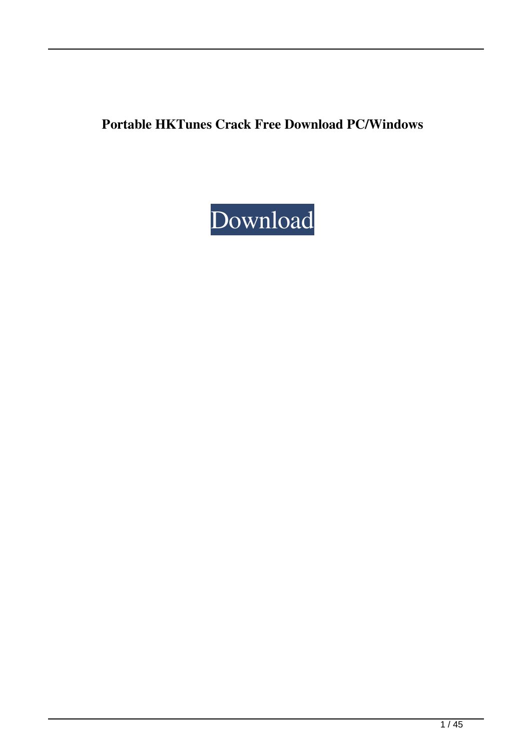**Portable HKTunes Crack Free Download PC/Windows**

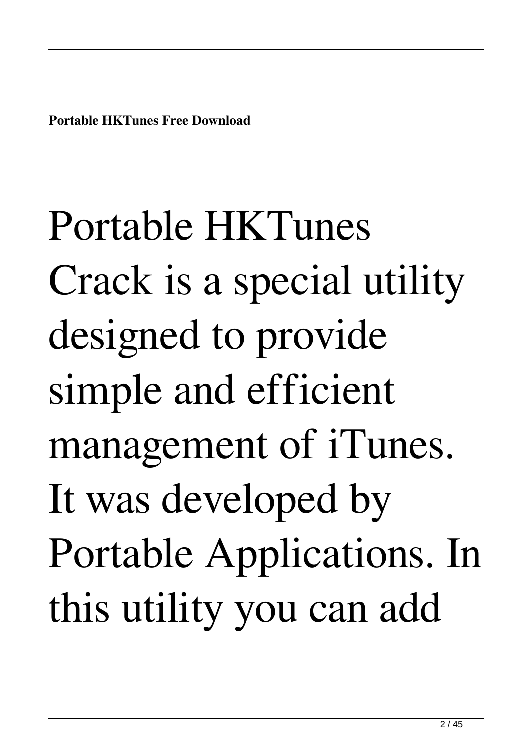**Portable HKTunes Free Download**

Portable HKTunes Crack is a special utility designed to provide simple and efficient management of iTunes. It was developed by Portable Applications. In this utility you can add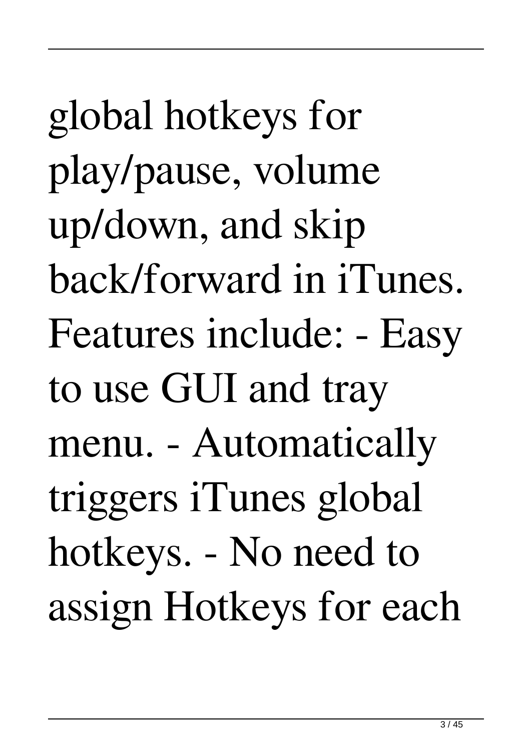global hotkeys for play/pause, volume up/down, and skip back/forward in iTunes. Features include: - Easy to use GUI and tray menu. - Automatically triggers iTunes global hotkeys. - No need to assign Hotkeys for each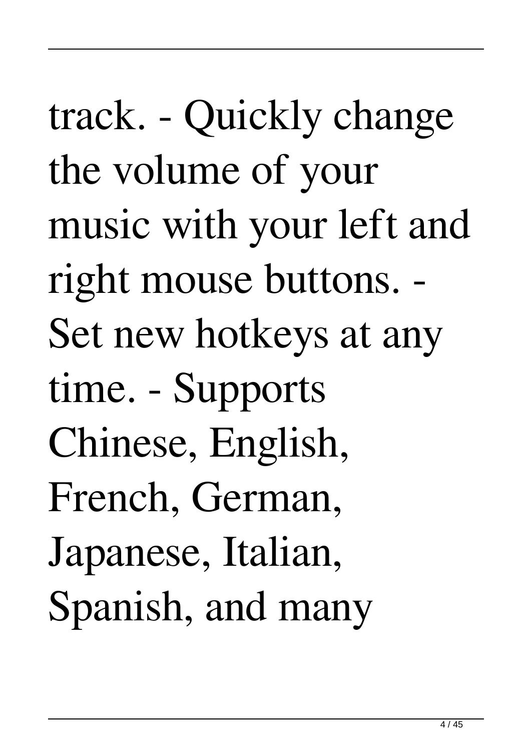track. - Quickly change the volume of your music with your left and right mouse buttons. - Set new hotkeys at any time. - Supports Chinese, English, French, German, Japanese, Italian, Spanish, and many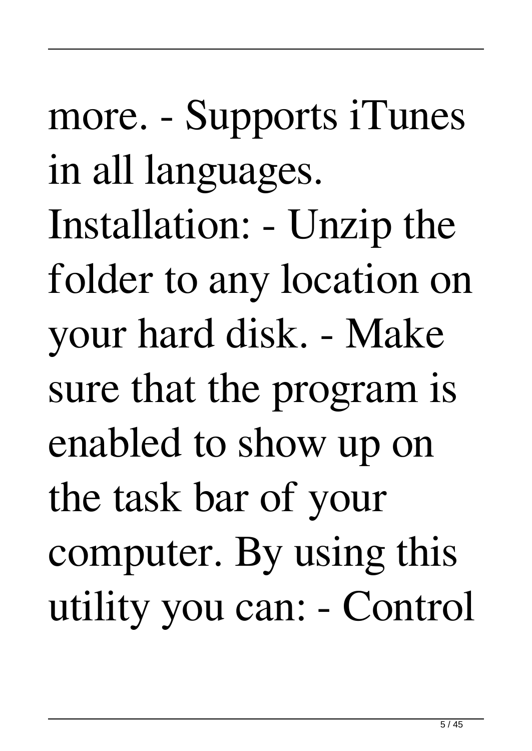more. - Supports iTunes in all languages. Installation: - Unzip the folder to any location on your hard disk. - Make sure that the program is enabled to show up on the task bar of your computer. By using this utility you can: - Control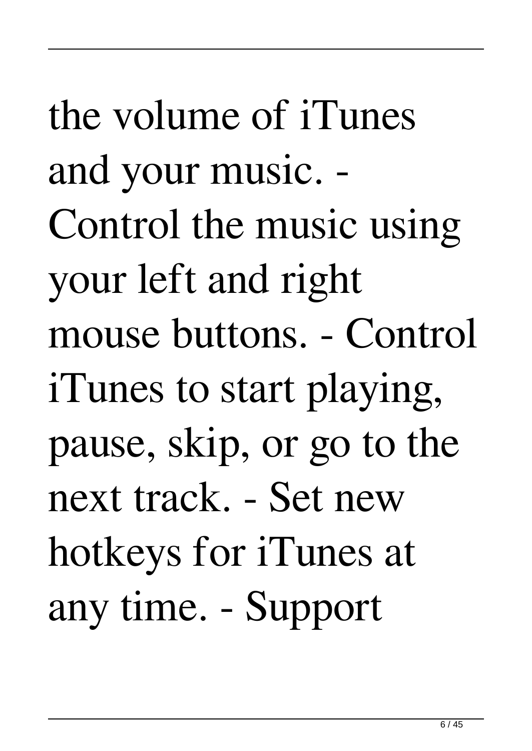the volume of iTunes and your music. - Control the music using your left and right mouse buttons. - Control iTunes to start playing, pause, skip, or go to the next track. - Set new hotkeys for iTunes at any time. - Support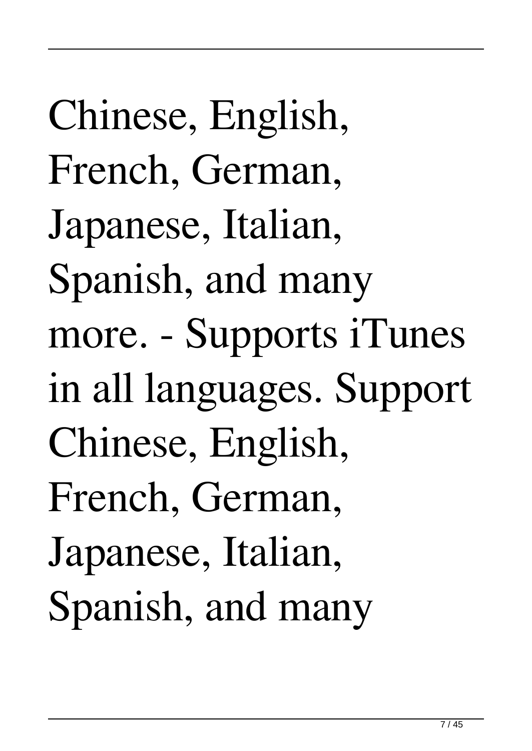Chinese, English, French, German, Japanese, Italian, Spanish, and many more. - Supports iTunes in all languages. Support Chinese, English, French, German, Japanese, Italian, Spanish, and many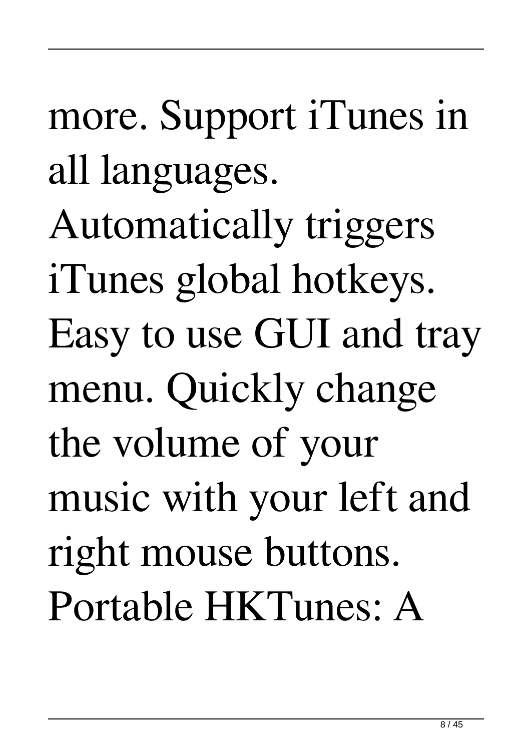more. Support iTunes in all languages. Automatically triggers iTunes global hotkeys. Easy to use GUI and tray menu. Quickly change the volume of your music with your left and right mouse buttons. Portable HKTunes: A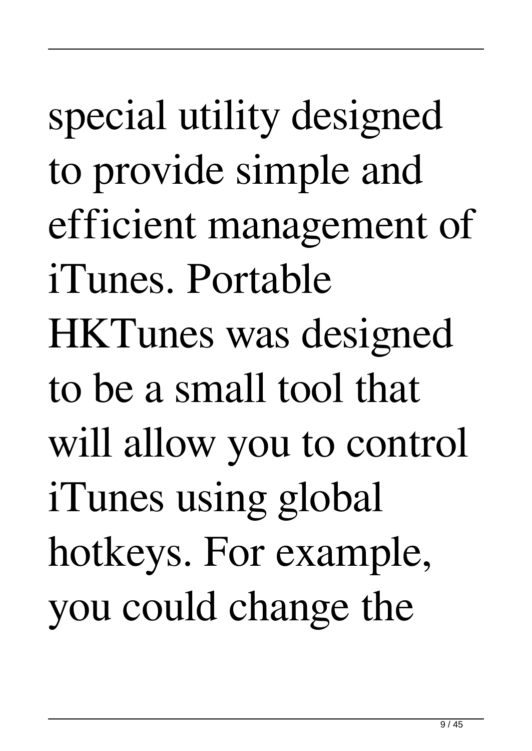special utility designed to provide simple and efficient management of iTunes. Portable HKTunes was designed to be a small tool that will allow you to control iTunes using global hotkeys. For example, you could change the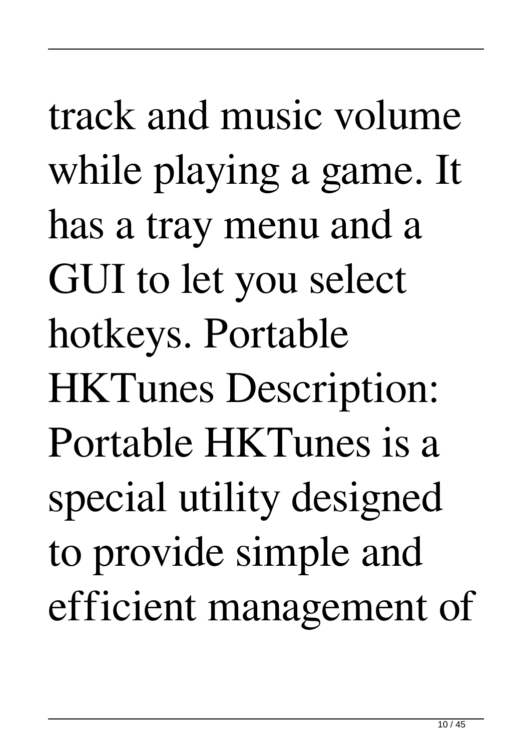track and music volume while playing a game. It has a tray menu and a GUI to let you select hotkeys. Portable HKTunes Description: Portable HKTunes is a special utility designed to provide simple and efficient management of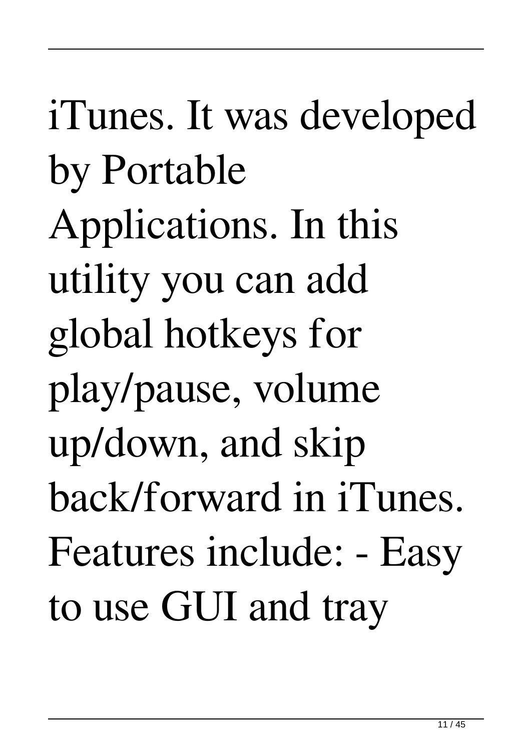iTunes. It was developed by Portable Applications. In this utility you can add global hotkeys for play/pause, volume up/down, and skip back/forward in iTunes. Features include: - Easy to use GUI and tray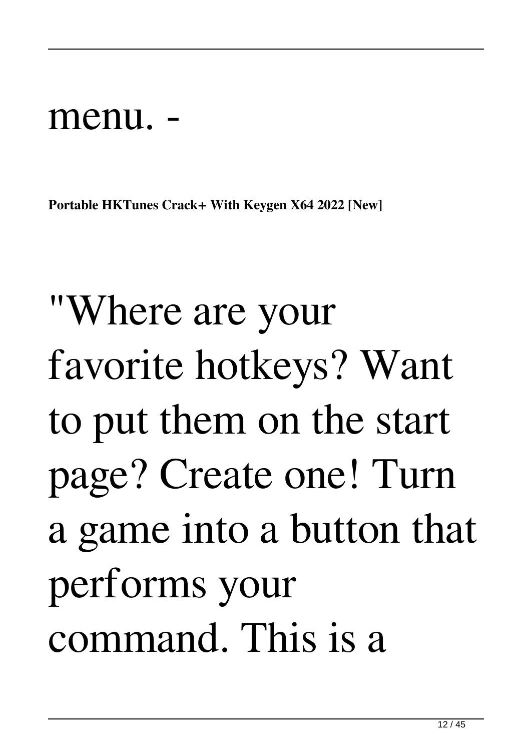#### menu.

**Portable HKTunes Crack+ With Keygen X64 2022 [New]**

## "Where are your favorite hotkeys? Want to put them on the start page? Create one! Turn a game into a button that performs your command. This is a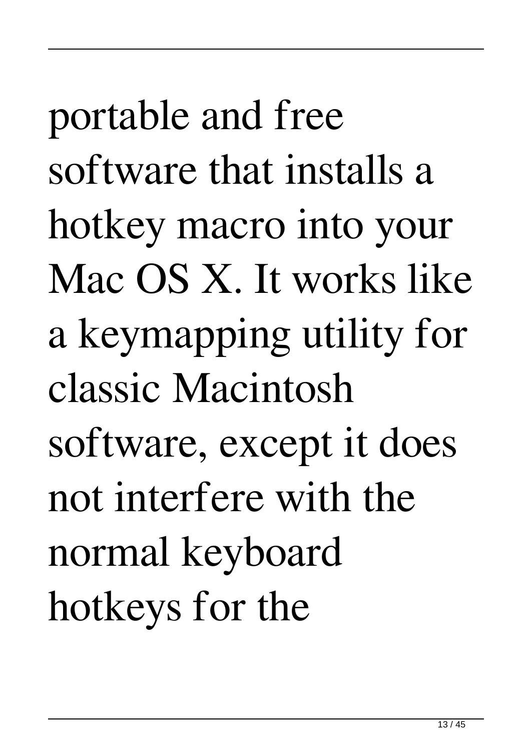portable and free software that installs a hotkey macro into your Mac OS X. It works like a keymapping utility for classic Macintosh software, except it does not interfere with the normal keyboard hotkeys for the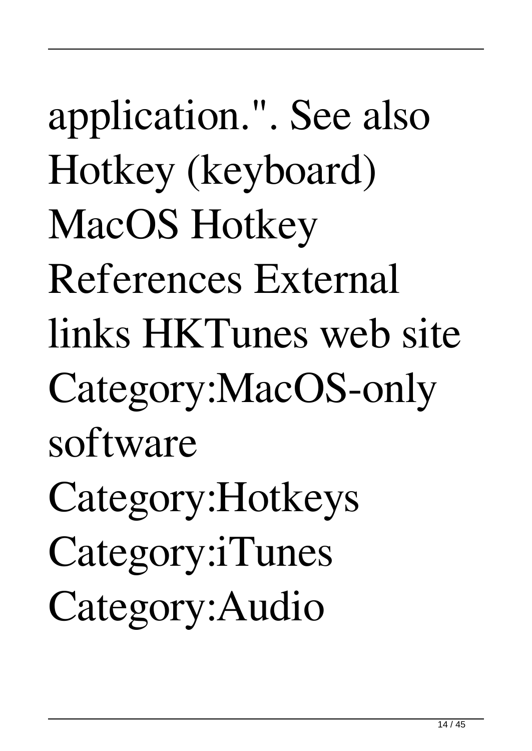application.". See also Hotkey (keyboard) MacOS Hotkey References External links HKTunes web site Category:MacOS-only software Category:Hotkeys Category:iTunes Category:Audio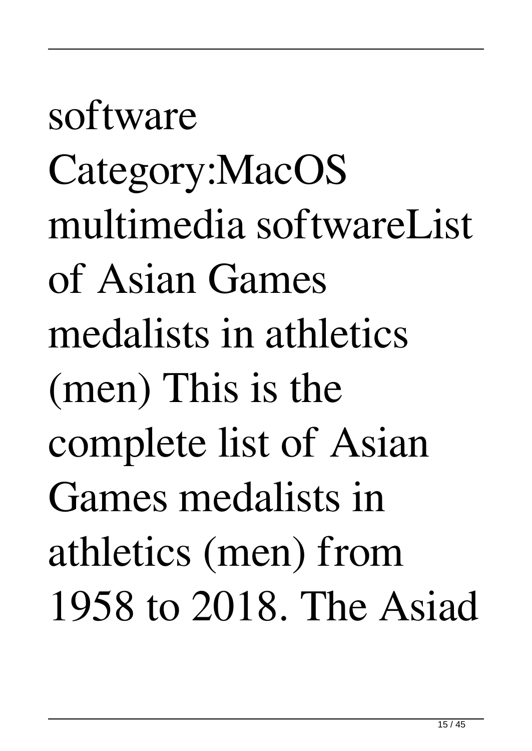software Category:MacOS multimedia softwareList of Asian Games medalists in athletics (men) This is the complete list of Asian Games medalists in athletics (men) from 1958 to 2018. The Asiad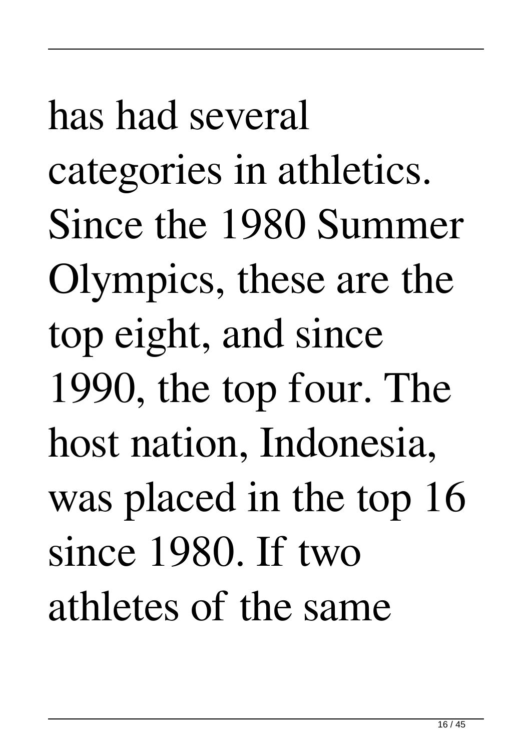has had several categories in athletics. Since the 1980 Summer Olympics, these are the top eight, and since 1990, the top four. The host nation, Indonesia, was placed in the top 16 since 1980. If two athletes of the same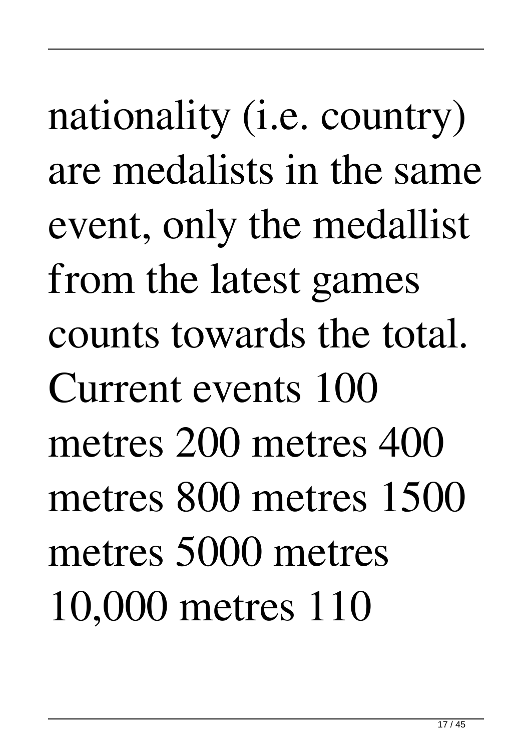nationality (i.e. country) are medalists in the same event, only the medallist from the latest games counts towards the total. Current events 100 metres 200 metres 400 metres 800 metres 1500 metres 5000 metres 10,000 metres 110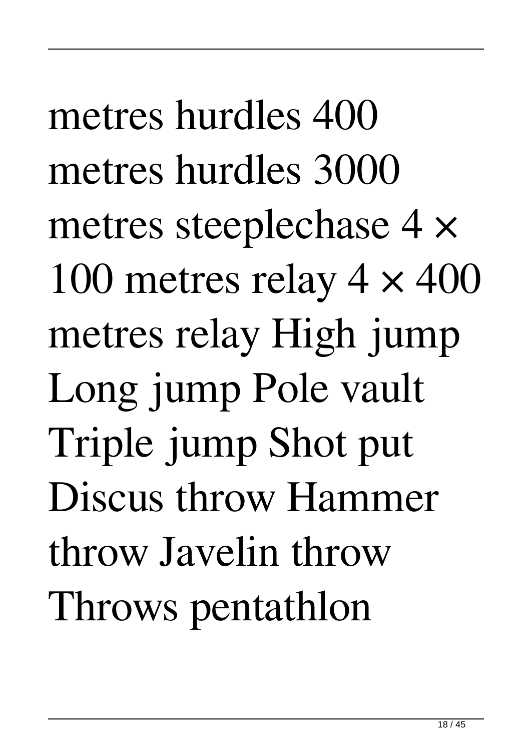metres hurdles 400 metres hurdles 3000 metres steeplechase 4 × 100 metres relay  $4 \times 400$ metres relay High jump Long jump Pole vault Triple jump Shot put Discus throw Hammer throw Javelin throw Throws pentathlon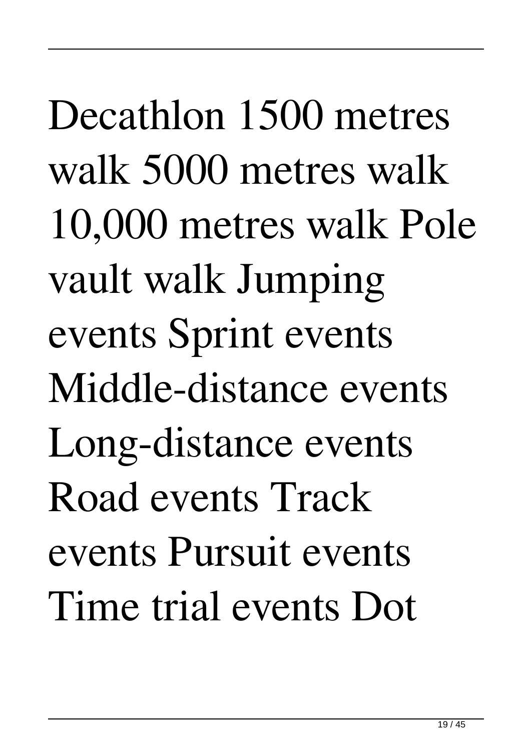Decathlon 1500 metres walk 5000 metres walk 10,000 metres walk Pole vault walk Jumping events Sprint events Middle-distance events Long-distance events Road events Track events Pursuit events Time trial events Dot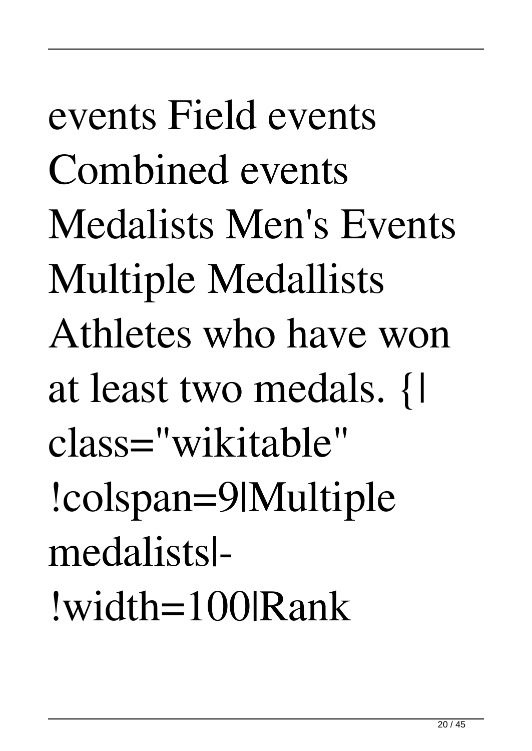events Field events Combined events Medalists Men's Events Multiple Medallists Athletes who have won at least two medals. {| class="wikitable" !colspan=9|Multiple medalists|- !width=100|Rank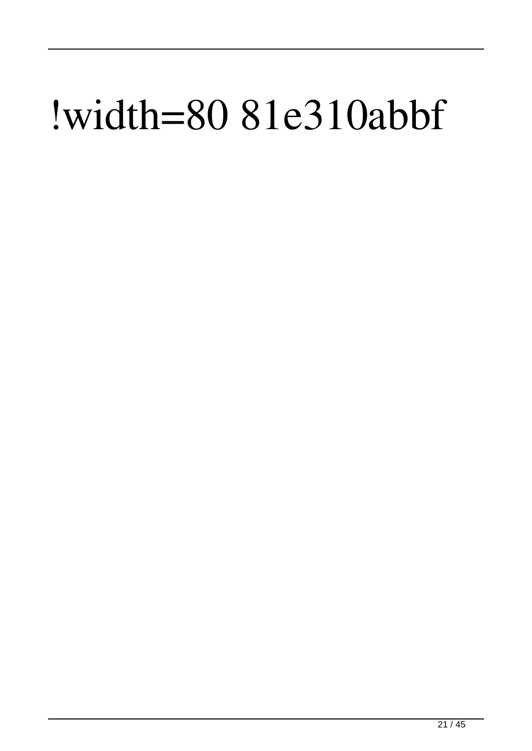#### !width=80 81e310abbf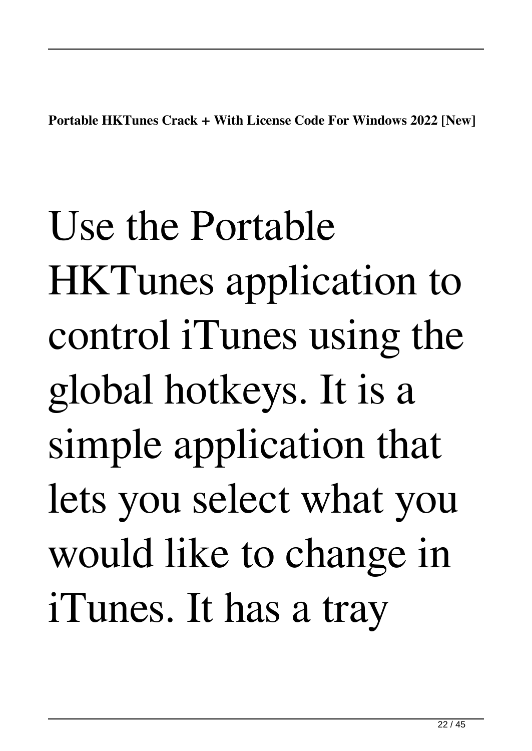**Portable HKTunes Crack + With License Code For Windows 2022 [New]**

Use the Portable HKTunes application to control iTunes using the global hotkeys. It is a simple application that lets you select what you would like to change in iTunes. It has a tray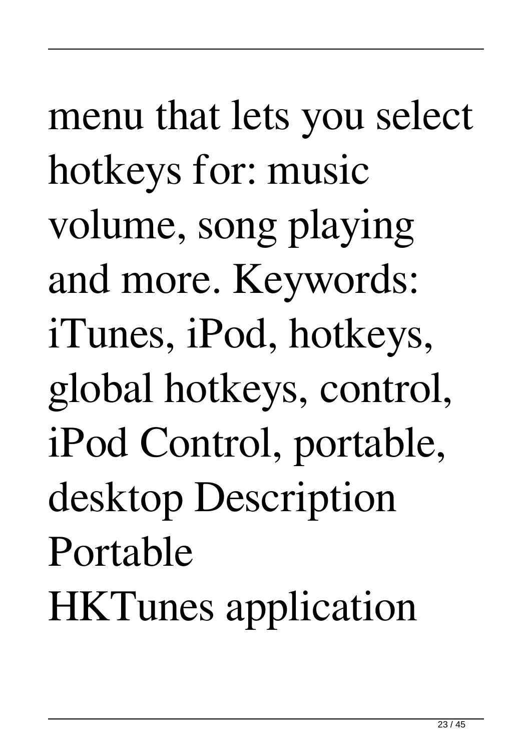menu that lets you select hotkeys for: music volume, song playing and more. Keywords: iTunes, iPod, hotkeys, global hotkeys, control, iPod Control, portable, desktop Description Portable HKTunes application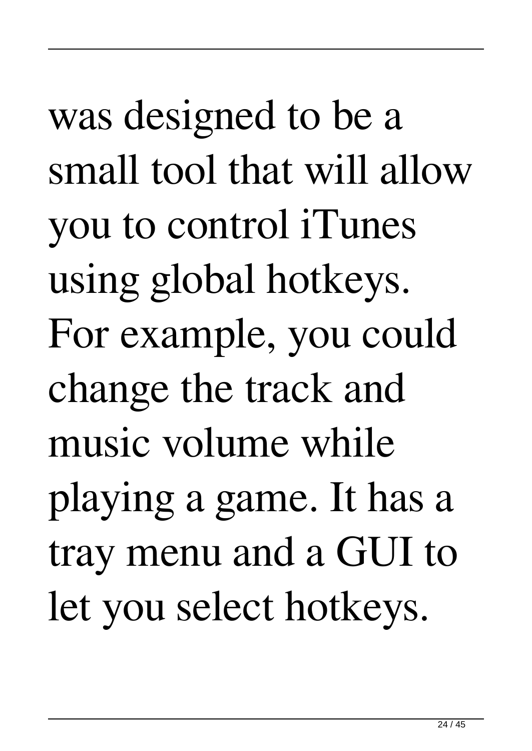was designed to be a small tool that will allow you to control iTunes using global hotkeys. For example, you could change the track and music volume while playing a game. It has a tray menu and a GUI to let you select hotkeys.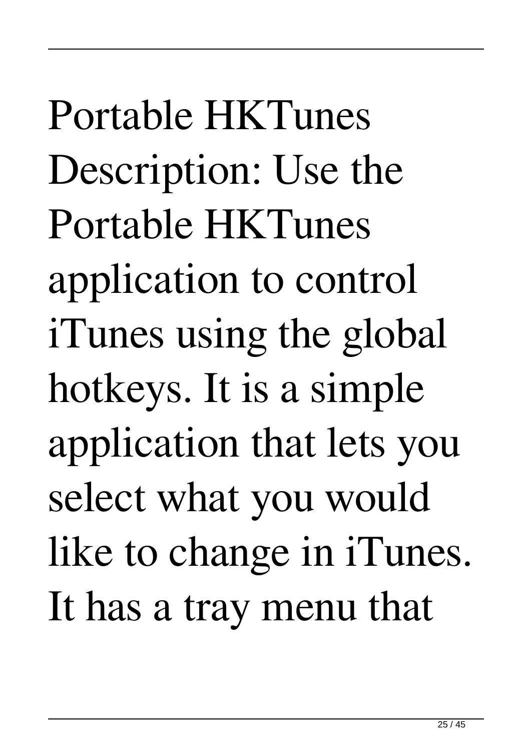Portable HKTunes Description: Use the Portable HKTunes application to control iTunes using the global hotkeys. It is a simple application that lets you select what you would like to change in iTunes. It has a tray menu that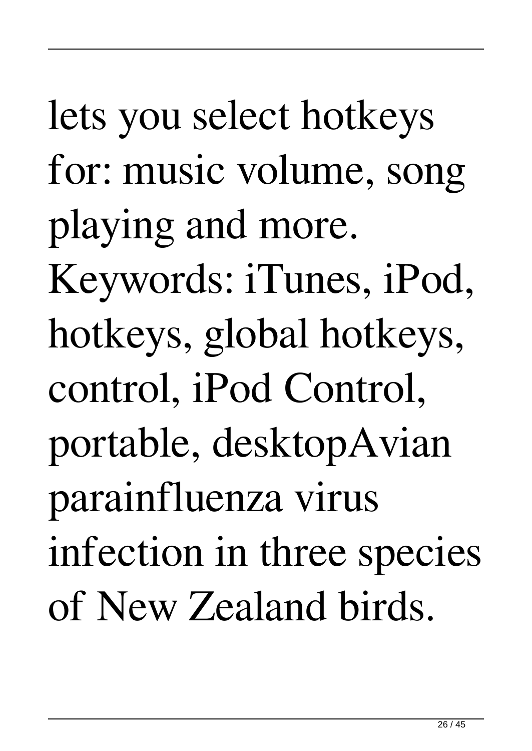lets you select hotkeys for: music volume, song playing and more. Keywords: iTunes, iPod, hotkeys, global hotkeys, control, iPod Control, portable, desktopAvian parainfluenza virus infection in three species of New Zealand birds.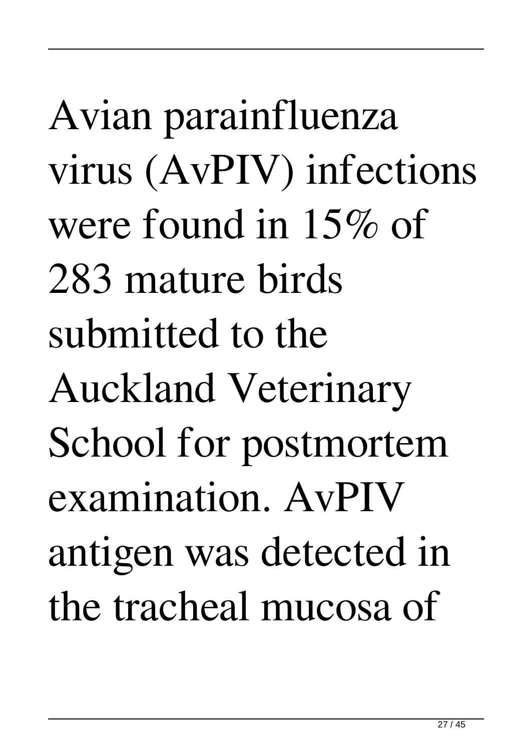Avian parainfluenza virus (AvPIV) infections were found in 15% of 283 mature birds submitted to the Auckland Veterinary School for postmortem examination. AvPIV antigen was detected in the tracheal mucosa of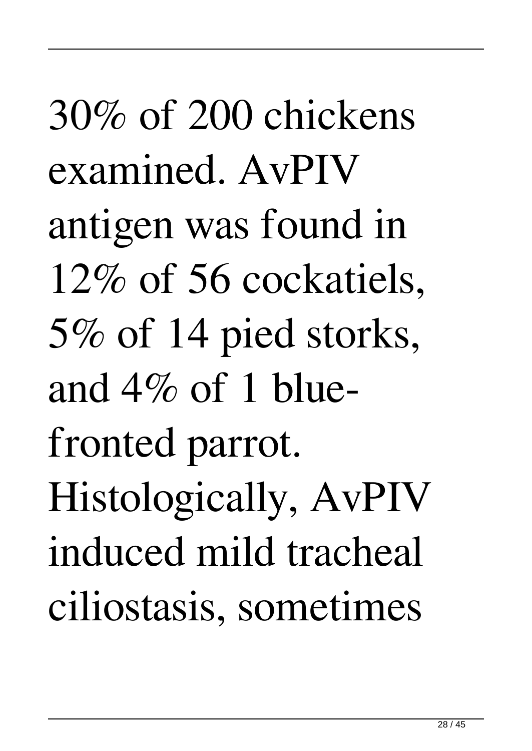30% of 200 chickens examined. AvPIV antigen was found in 12% of 56 cockatiels, 5% of 14 pied storks, and  $4\%$  of 1 bluefronted parrot. Histologically, AvPIV induced mild tracheal ciliostasis, sometimes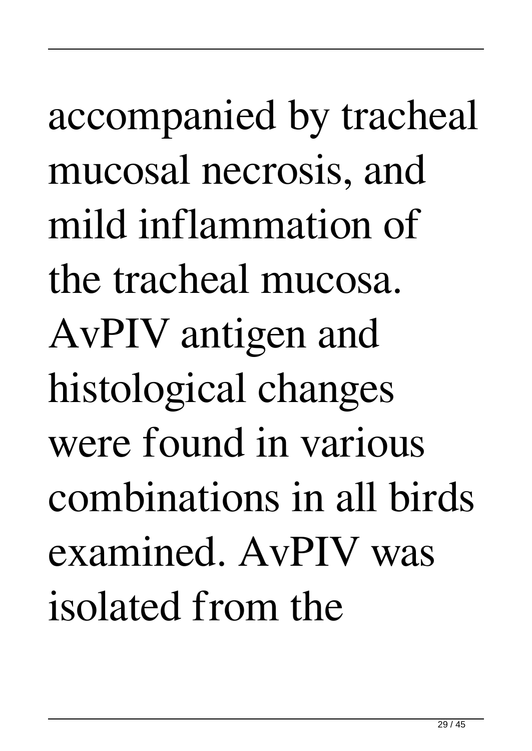accompanied by tracheal mucosal necrosis, and mild inflammation of the tracheal mucosa. AvPIV antigen and histological changes were found in various combinations in all birds examined. AvPIV was isolated from the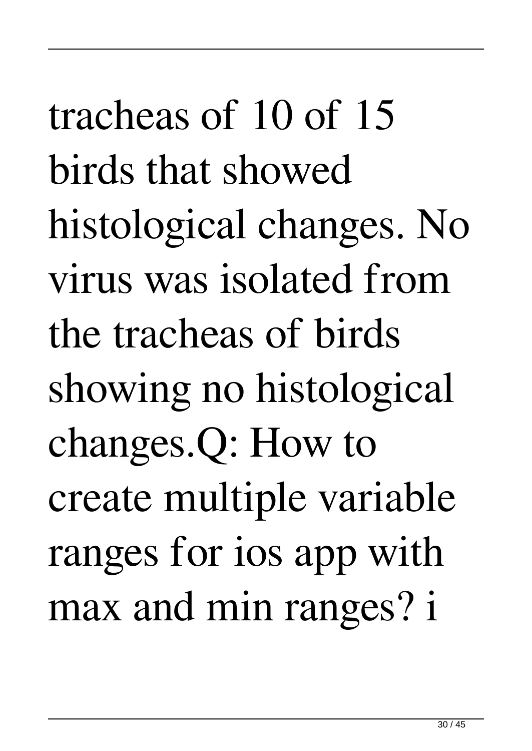tracheas of 10 of 15 birds that showed histological changes. No virus was isolated from the tracheas of birds showing no histological changes.Q: How to create multiple variable ranges for ios app with max and min ranges? i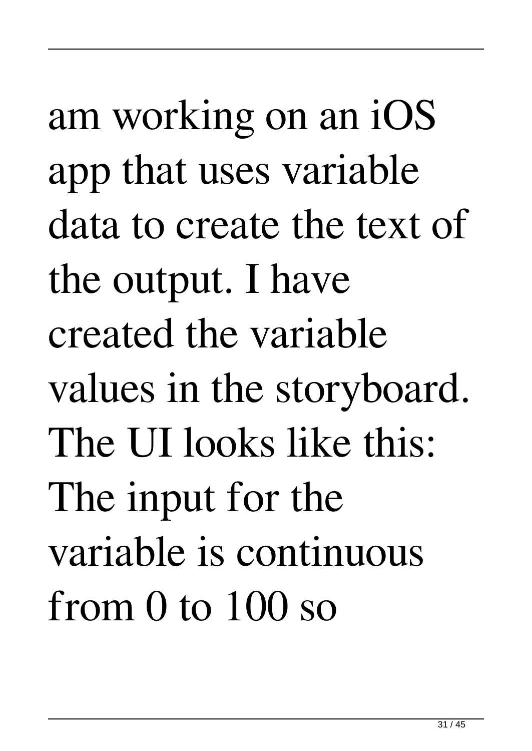am working on an iOS app that uses variable data to create the text of the output. I have created the variable values in the storyboard. The UI looks like this: The input for the variable is continuous from 0 to 100 so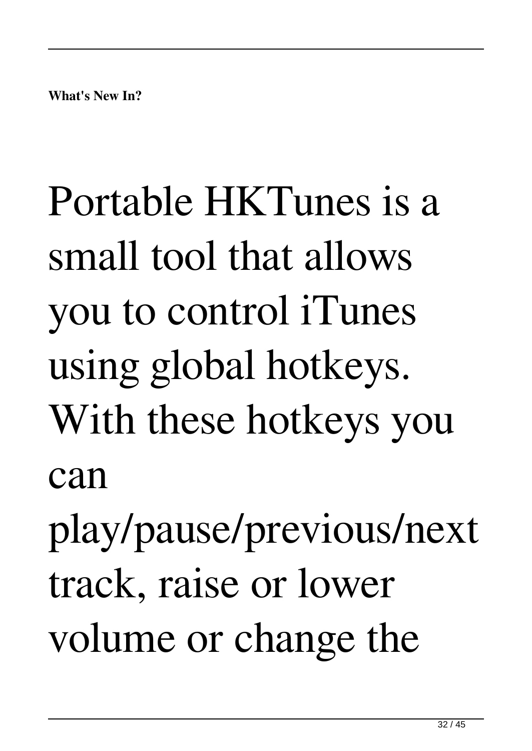# Portable HKTunes is a small tool that allows you to control iTunes using global hotkeys. With these hotkeys you can

play/pause/previous/next track, raise or lower volume or change the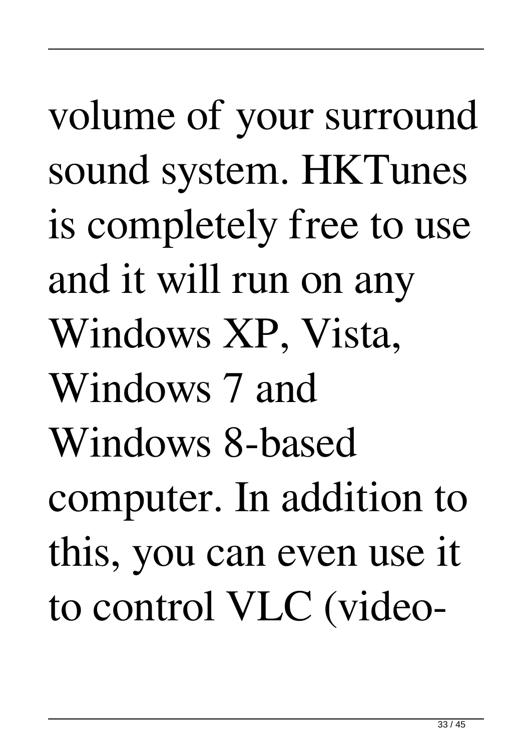volume of your surround sound system. HKTunes is completely free to use and it will run on any Windows XP, Vista, Windows 7 and Windows 8-based computer. In addition to this, you can even use it to control VLC (video-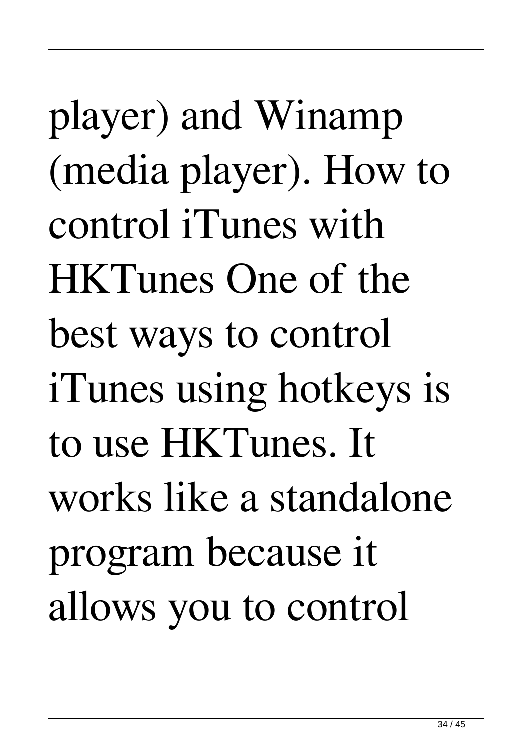player) and Winamp (media player). How to control iTunes with HKTunes One of the best ways to control iTunes using hotkeys is to use HKTunes. It works like a standalone program because it allows you to control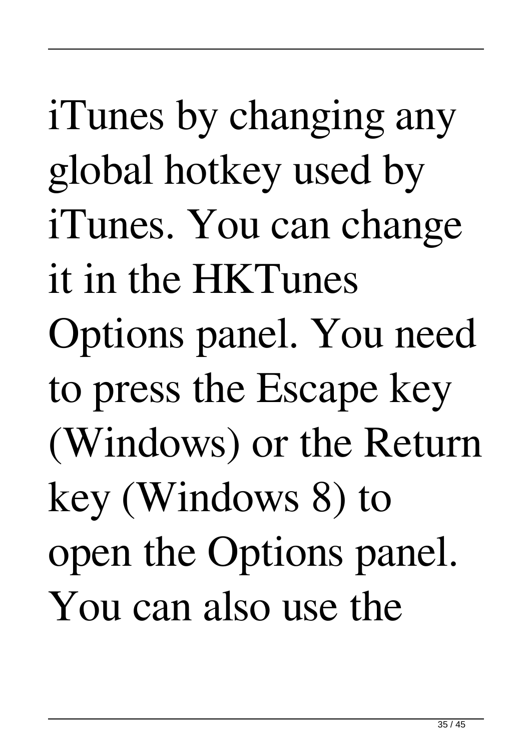iTunes by changing any global hotkey used by iTunes. You can change it in the HKTunes Options panel. You need to press the Escape key (Windows) or the Return key (Windows 8) to open the Options panel. You can also use the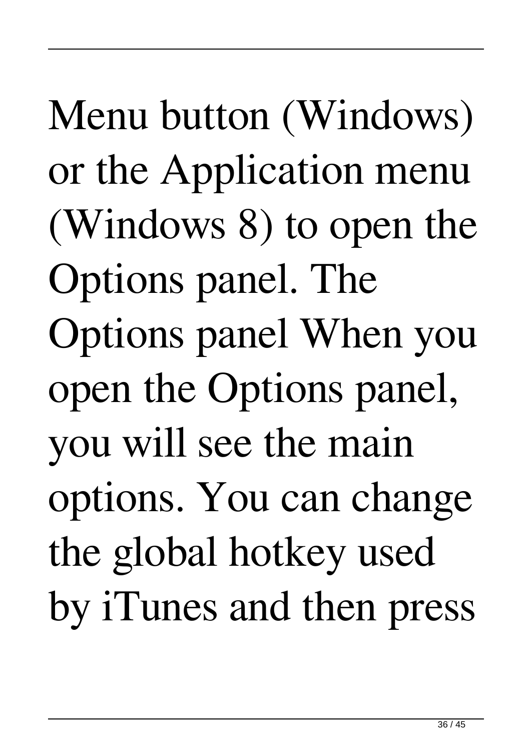Menu button (Windows) or the Application menu (Windows 8) to open the Options panel. The Options panel When you open the Options panel, you will see the main options. You can change the global hotkey used by iTunes and then press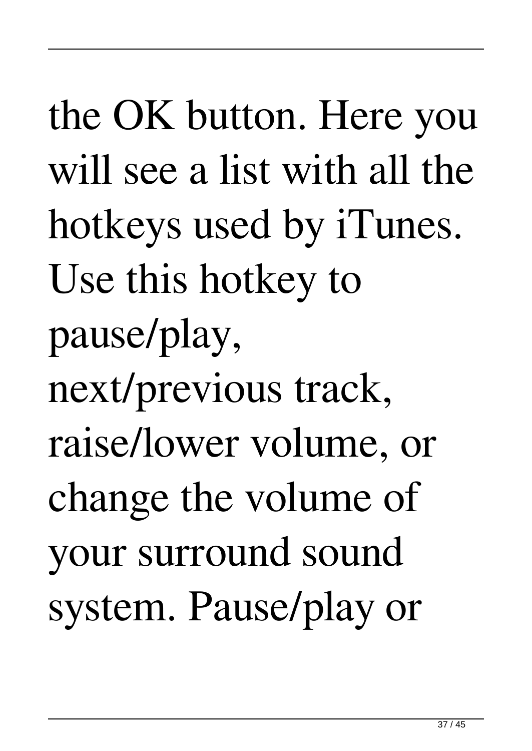the OK button. Here you will see a list with all the hotkeys used by iTunes. Use this hotkey to pause/play, next/previous track, raise/lower volume, or change the volume of your surround sound system. Pause/play or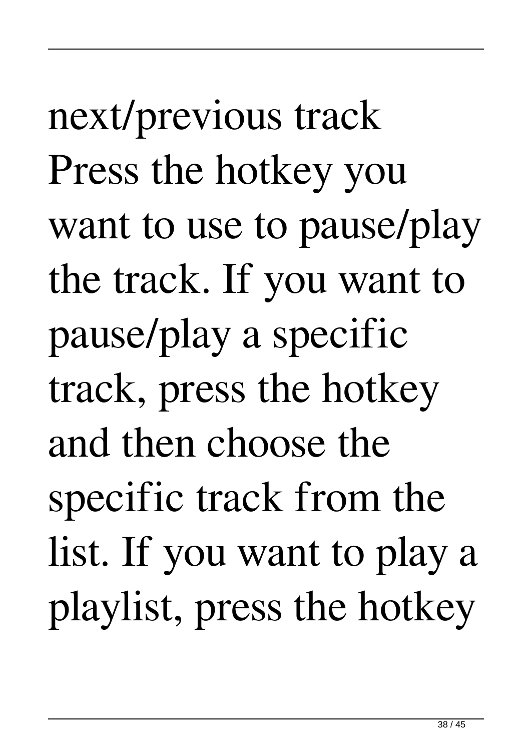next/previous track Press the hotkey you want to use to pause/play the track. If you want to pause/play a specific track, press the hotkey and then choose the specific track from the list. If you want to play a playlist, press the hotkey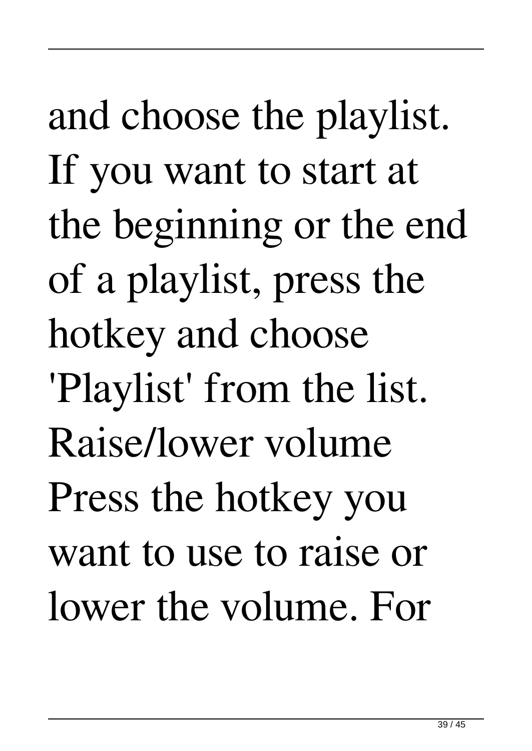and choose the playlist. If you want to start at the beginning or the end of a playlist, press the hotkey and choose 'Playlist' from the list. Raise/lower volume Press the hotkey you want to use to raise or lower the volume. For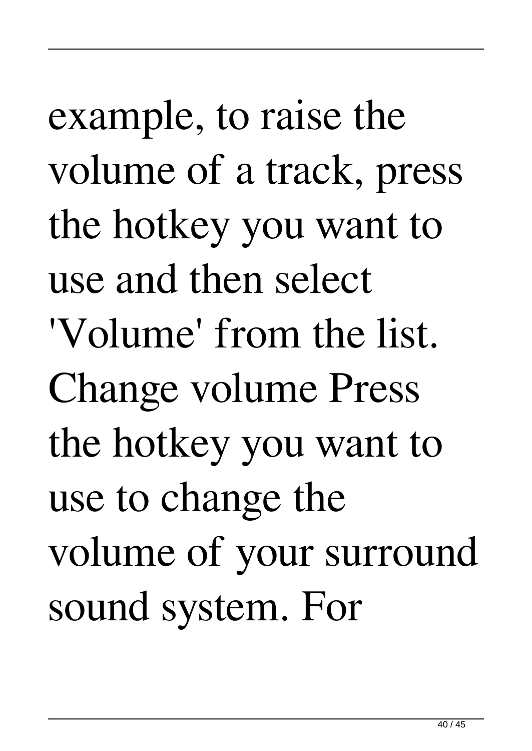example, to raise the volume of a track, press the hotkey you want to use and then select 'Volume' from the list. Change volume Press the hotkey you want to use to change the volume of your surround sound system. For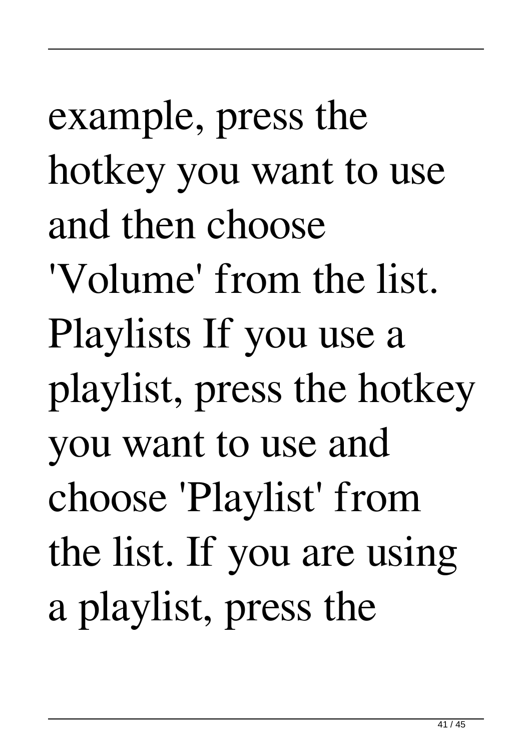example, press the hotkey you want to use and then choose 'Volume' from the list. Playlists If you use a playlist, press the hotkey you want to use and choose 'Playlist' from the list. If you are using a playlist, press the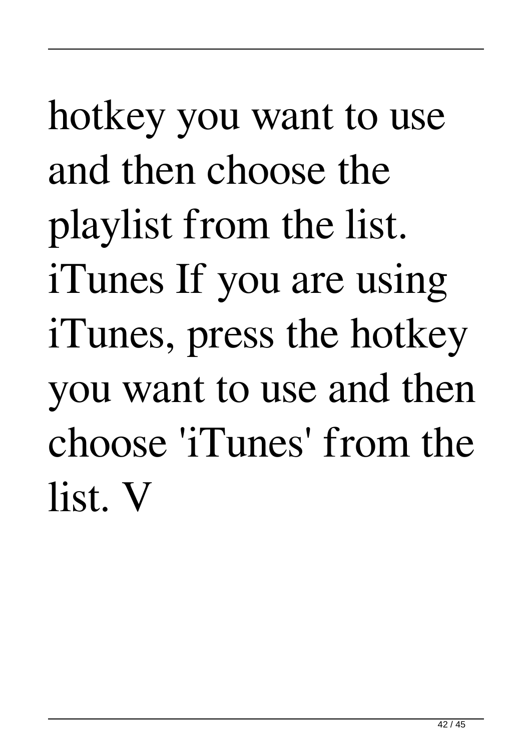## hotkey you want to use and then choose the playlist from the list. iTunes If you are using iTunes, press the hotkey you want to use and then choose 'iTunes' from the list. V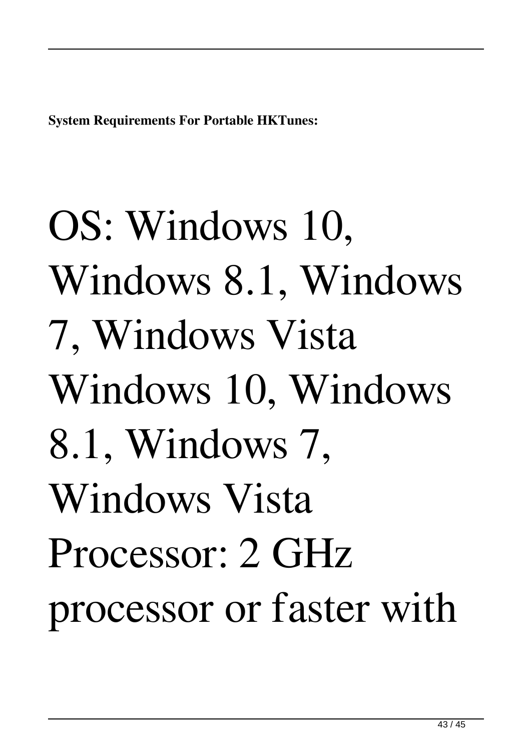**System Requirements For Portable HKTunes:**

# OS: Windows 10, Windows 8.1, Windows 7, Windows Vista Windows 10, Windows 8.1, Windows 7, Windows Vista Processor: 2 GHz processor or faster with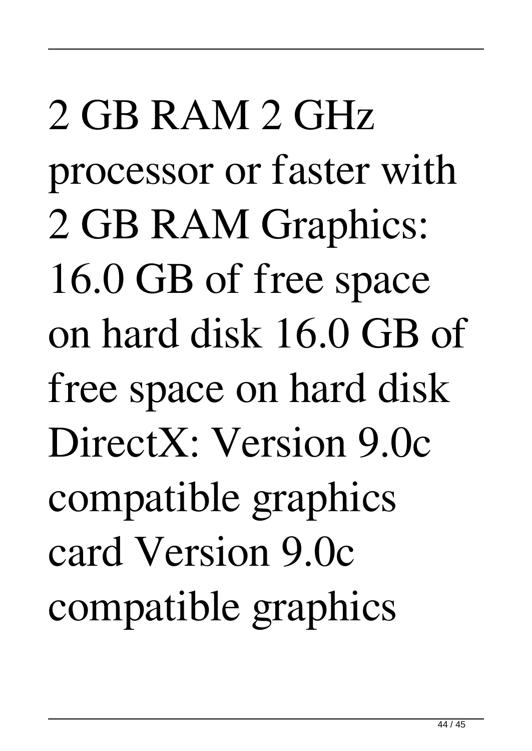2 GB RAM 2 GHz processor or faster with 2 GB RAM Graphics: 16.0 GB of free space on hard disk 16.0 GB of free space on hard disk DirectX: Version 9.0c compatible graphics card Version 9.0c compatible graphics